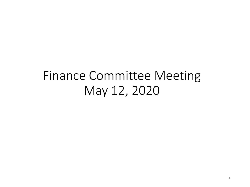# Finance Committee Meeting May 12, 2020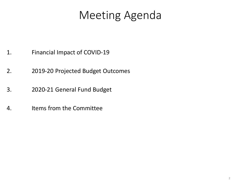# Meeting Agenda

- 1. Financial Impact of COVID-19
- 2. 2019-20 Projected Budget Outcomes
- 3. 2020-21 General Fund Budget
- 4. Items from the Committee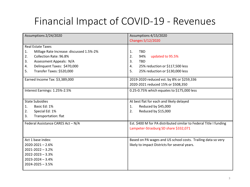## Financial Impact of COVID-19 - Revenues

| Assumptions 2/24/2020                          | Assumptions 4/15/2020                                              |  |  |  |  |
|------------------------------------------------|--------------------------------------------------------------------|--|--|--|--|
|                                                | Changes 5/12/2020                                                  |  |  |  |  |
| <b>Real Estate Taxes</b>                       |                                                                    |  |  |  |  |
| Millage Rate Increase: discussed 1.5%-2%<br>1. | <b>TBD</b><br>$\mathbf{1}$ .                                       |  |  |  |  |
| Collection Rate: 96.8%<br>2.                   | 2.<br>94%<br>updated to 95.5%                                      |  |  |  |  |
| Assessment Appeals: N/A<br>3.                  | <b>TBD</b><br>3.                                                   |  |  |  |  |
| Delinquent Taxes: \$470,000<br>4.              | 25% reduction or \$117,500 less<br>4.                              |  |  |  |  |
| Transfer Taxes: \$520,000<br>5.                | 25% reduction or \$130,000 less<br>5.                              |  |  |  |  |
| Earned Income Tax: \$3,389,000                 | 2019-2020 reduced est. by 8% or \$259,336                          |  |  |  |  |
|                                                | 2020-2021 reduced 15% or \$508,350                                 |  |  |  |  |
| Interest Earnings: 1.25%-2.5%                  | 0.25-0.75% which equates to \$175,000 less                         |  |  |  |  |
|                                                |                                                                    |  |  |  |  |
| <b>State Subsidies</b>                         | At best flat for each and likely delayed                           |  |  |  |  |
| Basic Ed: 1%<br>1.                             | Reduced by \$45,000<br>1.                                          |  |  |  |  |
| Special Ed: 1%<br>2.                           | Reduced by \$15,000<br>2.                                          |  |  |  |  |
| Transportation: flat<br>3.                     |                                                                    |  |  |  |  |
| Federal Assistance CARES Act - N/A             | Est. \$400 M for PA distributed similar to Federal Title I funding |  |  |  |  |
|                                                | Lampeter-Strasburg SD share \$332,071                              |  |  |  |  |
|                                                |                                                                    |  |  |  |  |
| Act 1 base index:                              | Based on PA wages and US school costs. Trailing data so very       |  |  |  |  |
| $2020 - 2021 - 2.6%$                           | likely to impact Districts for several years.                      |  |  |  |  |
| $2021 - 2022 - 3.2%$                           |                                                                    |  |  |  |  |
| 2022-2023 - 3.3%                               |                                                                    |  |  |  |  |
| $2023 - 2024 - 3.4%$                           |                                                                    |  |  |  |  |
| 2024-2025 - 3.5%                               |                                                                    |  |  |  |  |
|                                                |                                                                    |  |  |  |  |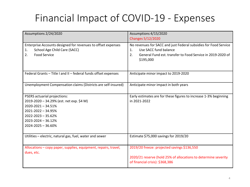# Financial Impact of COVID-19 - Expenses

| Assumptions 2/24/2020                                                                                                                                                                      | Assumptions 4/15/2020<br>Changes 5/12/2020                                                                                                                                       |
|--------------------------------------------------------------------------------------------------------------------------------------------------------------------------------------------|----------------------------------------------------------------------------------------------------------------------------------------------------------------------------------|
| Enterprise Accounts designed for revenues to offset expenses<br>School Age Child Care (SACC)<br>1.<br><b>Food Service</b><br>2.                                                            | No revenues for SACC and just Federal subsidies for Food Service<br>Use SACC fund balance<br>1.<br>General Fund est. transfer to Food Service in 2019-2020 of<br>2.<br>\$195,000 |
| Federal Grants - Title I and II - federal funds offset expenses                                                                                                                            | Anticipate minor impact to 2019-2020                                                                                                                                             |
| Unemployment Compensation claims (Districts are self-insured)                                                                                                                              | Anticipate minor impact in both years                                                                                                                                            |
| PSERS actuarial projections:<br>2019-2020 - 34.29% (est. net exp. \$4 M)<br>2020-2021 - 34.51%<br>2021-2022 - 34.95%<br>$2022 - 2023 - 35.62%$<br>2023-2024 - 36.12%<br>2024-2025 - 36.60% | Early estimates are for these figures to increase 1-3% beginning<br>in 2021-2022                                                                                                 |
| Utilities - electric, natural gas, fuel, water and sewer                                                                                                                                   | Estimate \$75,000 savings for 2019/20                                                                                                                                            |
| Allocations - copy paper, supplies, equipment, repairs, travel,<br>dues, etc.                                                                                                              | 2019/20 freeze: projected savings \$136,550<br>2020/21 reserve (hold 25% of allocations to determine severity<br>of financial crisis): \$368,386                                 |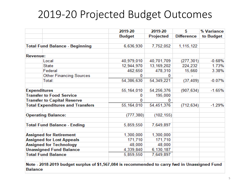# 2019-20 Projected Budget Outcomes

|                                                                                                                 | 2019-20       | 2019-20      | S                 | % Variance |
|-----------------------------------------------------------------------------------------------------------------|---------------|--------------|-------------------|------------|
|                                                                                                                 | <b>Budget</b> | Projected    | <b>Difference</b> | to Budget  |
|                                                                                                                 |               |              |                   |            |
| <b>Total Fund Balance - Beginning</b>                                                                           | 6,636,930     | 7,752,052    | 1, 115, 122       |            |
|                                                                                                                 |               |              |                   |            |
| <b>Revenue:</b>                                                                                                 |               |              |                   |            |
| Local                                                                                                           | 40,979,010    | 40,701,709   | (277, 301)        | $-0.68%$   |
| <b>State</b>                                                                                                    | 12,944,970    | 13, 169, 202 | 224,232           | 1.73%      |
| Federal                                                                                                         | 462,650       | 478,310      | 15,660            | 3.38%      |
| <b>Other Financing Sources</b>                                                                                  | 0             | 0            |                   |            |
| Total:                                                                                                          | 54,386,630    | 54,349,221   | (37, 409)         | $-0.07%$   |
|                                                                                                                 |               |              |                   |            |
| <b>Expenditures</b>                                                                                             | 55,164,010    | 54,256,376   | (907, 634)        | $-1.65%$   |
| <b>Transfer to Food Service</b>                                                                                 | 0             | 195,000      |                   |            |
| <b>Transfer to Capital Reserve</b>                                                                              | 0             | 0            |                   |            |
| <b>Total Expenditures and Transfers</b>                                                                         | 55,164,010    | 54,451,376   | (712, 634)        | $-1.29%$   |
|                                                                                                                 |               |              |                   |            |
| <b>Operating Balance:</b>                                                                                       | (777, 380)    | (102, 155)   |                   |            |
|                                                                                                                 |               |              |                   |            |
| <b>Total Fund Balance - Ending</b>                                                                              | 5,859,550     | 7,649,897    |                   |            |
|                                                                                                                 |               |              |                   |            |
| <b>Assigned for Retirement</b>                                                                                  | 1,300,000     | 1,300,000    |                   |            |
| <b>Assigned for Lost Appeals</b>                                                                                | 171,710       | 171,710      |                   |            |
| <b>Assigned for Technology</b>                                                                                  | 48,000        | 48,000       |                   |            |
| <b>Unassigned Fund Balance</b>                                                                                  | 4,339,840     | 6,130,187    |                   |            |
| <b>Total Fund Balance</b>                                                                                       | 5,859,550     | 7,649,897    |                   |            |
|                                                                                                                 |               |              |                   |            |
| Note - 2018-2019 budget surplus of \$1,567,084 is recommended to carry fwd in Unassigned Fund<br><b>Balance</b> |               |              |                   |            |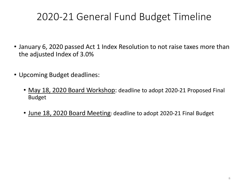# 2020-21 General Fund Budget Timeline

- January 6, 2020 passed Act 1 Index Resolution to not raise taxes more than the adjusted Index of 3.0%
- Upcoming Budget deadlines:
	- May 18, 2020 Board Workshop: deadline to adopt 2020-21 Proposed Final Budget
	- June 18, 2020 Board Meeting: deadline to adopt 2020-21 Final Budget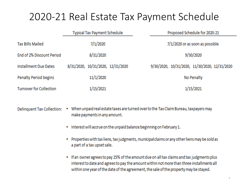#### 2020-21 Real Estate Tax Payment Schedule

|                                | <b>Typical Tax Payment Schedule</b> | Proposed Schedule for 2020-21                 |  |  |  |
|--------------------------------|-------------------------------------|-----------------------------------------------|--|--|--|
| <b>Tax Bills Mailed</b>        | 7/1/2020                            | 7/1/2020 or as soon as possible               |  |  |  |
| End of 2% Discount Period      | 8/31/2020                           | 9/30/2020                                     |  |  |  |
| <b>Installment Due Dates</b>   | 8/31/2020, 10/31/2020, 12/31/2020   | 9/30/2020, 10/31/2020, 11/30/2020, 12/31/2020 |  |  |  |
| Penalty Period begins          | 11/1/2020                           | No Penalty                                    |  |  |  |
| <b>Turnover for Collection</b> | 1/15/2021                           | 1/15/2021                                     |  |  |  |

• When unpaid real estate taxes are turned over to the Tax Claim Bureau, taxpayers may **Delinquent Tax Collection:** make payments in any amount.

- Interest will accrue on the unpaid balance beginning on February 1.
- Properties with tax liens, tax judgments, municipal claims or any other liens may be sold as a part of a tax upset sale.
- If an owner agrees to pay 25% of the amount due on all tax claims and tax judgments plus interest to date and agrees to pay the amount within not more than three installments all within one year of the date of the agreement, the sale of the property may be stayed.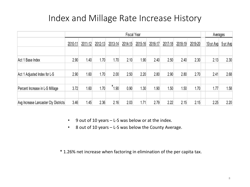#### Index and Millage Rate Increase History

|                                      | <b>Fiscal Year</b> |                  |         |            |         |         | Averages |         |         |         |               |          |
|--------------------------------------|--------------------|------------------|---------|------------|---------|---------|----------|---------|---------|---------|---------------|----------|
|                                      | 2010-11            | 2011-12          | 2012-13 | 2013-14    | 2014-15 | 2015-16 | 2016-17  | 2017-18 | 2018-19 | 2019-20 | $10 - yr$ Avg | 5-yr Avg |
|                                      |                    |                  |         |            |         |         |          |         |         |         |               |          |
| Act 1 Base Index                     | 2.90               | 1.40             | 1.70    | 1.70       | 2.10    | 1.90    | 2.40     | 2.50    | 2.40    | 2.30    | 2.13          | 2.30     |
|                                      |                    |                  |         |            |         |         |          |         |         |         |               |          |
| Adjusted Index for L-S<br>Act 1      | 2.90               | .60 <sub>1</sub> | 1.70    | 2.00       | 2.50    | 2.20    | 2.80     | 2.90    | 2.80    | 2.70    | 2.41          | 2.68     |
|                                      |                    |                  |         |            |         |         |          |         |         |         |               |          |
| Percent Increase in L-S Millage      | 3.72               | 1.60             | 1.70    | $*_{1.90}$ | 0.90    | 1.30    | 1.90     | 1.50    | 1.50    | 1.70    | 1.77          | 1.58     |
|                                      |                    |                  |         |            |         |         |          |         |         |         |               |          |
| Avg Increase Lancaster Cty Districts | 3.46               | 1.45             | 2.36    | 2.16       | 2.03    | 1.71    | 2.79     | 2.22    | 2.15    | 2.15    | 2.25          | 2.20     |

- 9 out of 10 years L-S was below or at the index.
- 8 out of 10 years L-S was below the County Average.

\* 1.26% net increase when factoring in elimination of the per capita tax.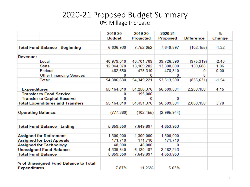#### 2020-21 Proposed Budget Summary 0% Millage Increase

|                                    |                                         | 2019-20       | 2019-20          | 2020-21         |                   | $\%$    |
|------------------------------------|-----------------------------------------|---------------|------------------|-----------------|-------------------|---------|
|                                    |                                         | <b>Budget</b> | <b>Projected</b> | <b>Proposed</b> | <b>Difference</b> | Change  |
|                                    |                                         |               |                  |                 |                   |         |
|                                    | <b>Total Fund Balance - Beginning</b>   | 6,636,930     | 7,752,052        | 7,649,897       | (102, 155)        | $-1.32$ |
|                                    |                                         |               |                  |                 |                   |         |
| <b>Revenue:</b>                    |                                         |               |                  |                 |                   |         |
|                                    | Local                                   | 40,979,010    | 40,701,709       | 39,726,390      | (975, 319)        | $-2.40$ |
|                                    | <b>State</b>                            | 12,944,970    | 13, 169, 202     | 13,308,890      | 139,688           | 1.06    |
|                                    | Federal                                 | 462,650       | 478,310          | 478,310         | 0                 | 0.00    |
|                                    | <b>Other Financing Sources</b>          | 0             | 0                | 0               | $\bf{0}$          |         |
|                                    | Total:                                  | 54,386,630    | 54,349,221       | 53,513,590      | (835, 631)        | $-1.54$ |
|                                    |                                         |               |                  |                 |                   |         |
| <b>Expenditures</b>                |                                         | 55,164,010    | 54,256,376       | 56,509,534      | 2,253,158         | 4.15    |
| <b>Transfer to Food Service</b>    |                                         | 0             | 195,000          |                 |                   |         |
| <b>Transfer to Capital Reserve</b> |                                         | 0             | 0                | 0               |                   |         |
|                                    | <b>Total Expenditures and Transfers</b> | 55,164,010    | 54,451,376       | 56,509,534      | 2,058,158         | 3.78    |
| <b>Operating Balance:</b>          |                                         | (777, 380)    | (102, 155)       | (2,995,944)     |                   |         |
|                                    | <b>Total Fund Balance - Ending</b>      | 5,859,550     | 7,649,897        | 4,653,953       |                   |         |
|                                    | <b>Assigned for Retirement</b>          | 1,300,000     | 1,300,000        | 1,300,000       |                   |         |
|                                    | <b>Assigned for Lost Appeals</b>        | 171,710       | 171,710          | 171,710         |                   |         |
| <b>Assigned for Technology</b>     |                                         | 48,000        | 48,000           | 0               |                   |         |
|                                    | <b>Unassigned Fund Balance</b>          | 4,339,840     | 6,130,187        | 3,182,243       |                   |         |
| <b>Total Fund Balance</b>          |                                         | 5,859,550     | 7,649,897        | 4,653,953       |                   |         |
| <b>Expenditures</b>                | % of Unassigned Fund Balance to Total   | 7.87%         | 11.26%           | 5.63%           |                   |         |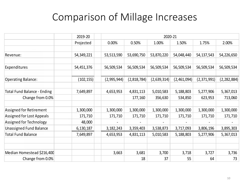### Comparison of Millage Increases

|                                    | 2019-20    | 2020-21     |             |             |             |              |               |  |  |
|------------------------------------|------------|-------------|-------------|-------------|-------------|--------------|---------------|--|--|
|                                    | Projected  | 0.00%       | 0.50%       | 1.00%       | 1.50%       | 1.75%        | 2.00%         |  |  |
|                                    |            |             |             |             |             |              |               |  |  |
| Revenue:                           | 54,349,221 | 53,513,590  | 53,690,750  | 53,870,220  | 54,048,440  | 54, 137, 543 | 54,226,650    |  |  |
|                                    |            |             |             |             |             |              |               |  |  |
| Expenditures                       | 54,451,376 | 56,509,534  | 56,509,534  | 56,509,534  | 56,509,534  | 56,509,534   | 56,509,534    |  |  |
|                                    |            |             |             |             |             |              |               |  |  |
| <b>Operating Balance:</b>          | (102, 155) | (2,995,944) | (2,818,784) | (2,639,314) | (2,461,094) | (2,371,991)  | (2, 282, 884) |  |  |
|                                    |            |             |             |             |             |              |               |  |  |
| <b>Total Fund Balance - Ending</b> | 7,649,897  | 4,653,953   | 4,831,113   | 5,010,583   | 5,188,803   | 5,277,906    | 5,367,013     |  |  |
| Change from 0.0%                   |            |             | 177,160     | 356,630     | 534,850     | 623,953      | 713,060       |  |  |
|                                    |            |             |             |             |             |              |               |  |  |
| Assigned for Retirement            | 1,300,000  | 1,300,000   | 1,300,000   | 1,300,000   | 1,300,000   | 1,300,000    | 1,300,000     |  |  |
| Assigned for Lost Appeals          | 171,710    | 171,710     | 171,710     | 171,710     | 171,710     | 171,710      | 171,710       |  |  |
| Assigned for Technology            | 48,000     |             |             |             |             |              |               |  |  |
| <b>Unassigned Fund Balance</b>     | 6,130,187  | 3, 182, 243 | 3,359,403   | 3,538,873   | 3,717,093   | 3,806,196    | 3,895,303     |  |  |
| <b>Total Fund Balance</b>          | 7,649,897  | 4,653,953   | 4,831,113   | 5,010,583   | 5,188,803   | 5,277,906    | 5,367,013     |  |  |
|                                    |            |             |             |             |             |              |               |  |  |
|                                    |            |             |             |             |             |              |               |  |  |
| Median Homestead \$216,400         |            | 3,663       | 3,681       | 3,700       | 3,718       | 3,727        | 3,736         |  |  |
| Change from 0.0%                   |            |             | 18          | 37          | 55          | 64           | 73            |  |  |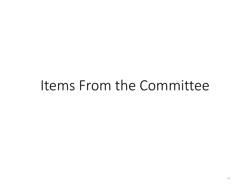# Items From the Committee